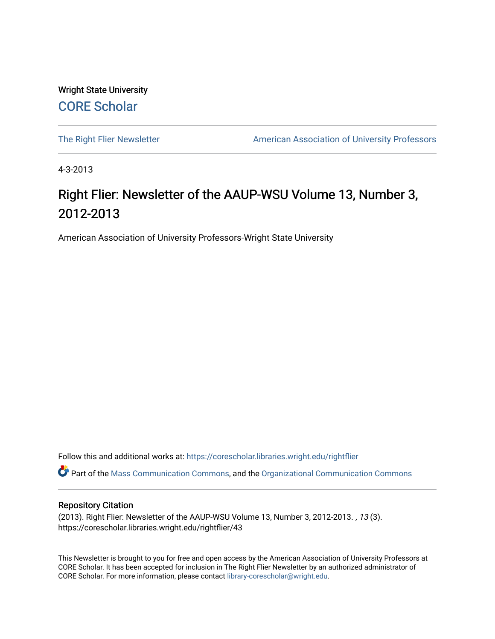Wright State University [CORE Scholar](https://corescholar.libraries.wright.edu/)

[The Right Flier Newsletter](https://corescholar.libraries.wright.edu/rightflier) **American Association of University Professors** 

4-3-2013

## Right Flier: Newsletter of the AAUP-WSU Volume 13, Number 3, 2012-2013

American Association of University Professors-Wright State University

Follow this and additional works at: [https://corescholar.libraries.wright.edu/rightflier](https://corescholar.libraries.wright.edu/rightflier?utm_source=corescholar.libraries.wright.edu%2Frightflier%2F43&utm_medium=PDF&utm_campaign=PDFCoverPages) 

Part of the [Mass Communication Commons,](http://network.bepress.com/hgg/discipline/334?utm_source=corescholar.libraries.wright.edu%2Frightflier%2F43&utm_medium=PDF&utm_campaign=PDFCoverPages) and the [Organizational Communication Commons](http://network.bepress.com/hgg/discipline/335?utm_source=corescholar.libraries.wright.edu%2Frightflier%2F43&utm_medium=PDF&utm_campaign=PDFCoverPages) 

#### Repository Citation

(2013). Right Flier: Newsletter of the AAUP-WSU Volume 13, Number 3, 2012-2013. , 13 (3). https://corescholar.libraries.wright.edu/rightflier/43

This Newsletter is brought to you for free and open access by the American Association of University Professors at CORE Scholar. It has been accepted for inclusion in The Right Flier Newsletter by an authorized administrator of CORE Scholar. For more information, please contact [library-corescholar@wright.edu](mailto:library-corescholar@wright.edu).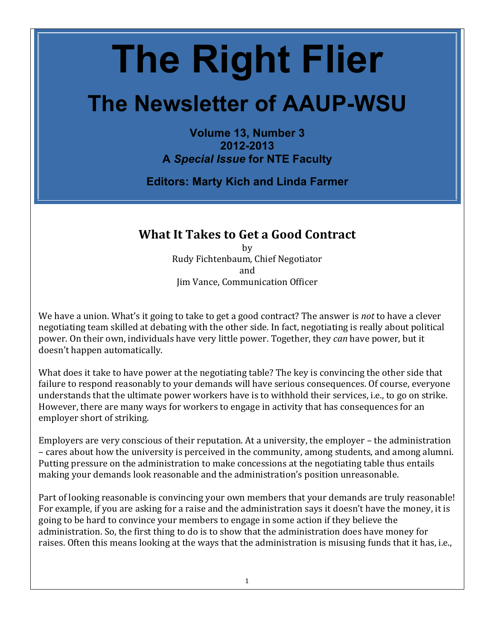# **The Right Flier**

# **The Newsletter of AAUP-WSU**

**Volume 13, Number 3 2012-2013 A** *Special Issue* **for NTE Faculty**

**Editors: Marty Kich and Linda Farmer**

## **What It Takes to Get a Good Contract**

by Rudy Fichtenbaum, Chief Negotiator and Jim Vance, Communication Officer

We have a union. What's it going to take to get a good contract? The answer is *not* to have a clever negotiating team skilled at debating with the other side. In fact, negotiating is really about political power. On their own, individuals have very little power. Together, they *can* have power, but it doesn't happen automatically.

What does it take to have power at the negotiating table? The key is convincing the other side that failure to respond reasonably to your demands will have serious consequences. Of course, everyone understands that the ultimate power workers have is to withhold their services, i.e., to go on strike. However, there are many ways for workers to engage in activity that has consequences for an employer short of striking.

Employers are very conscious of their reputation. At a university, the employer – the administration – cares about how the university is perceived in the community, among students, and among alumni. Putting pressure on the administration to make concessions at the negotiating table thus entails making your demands look reasonable and the administration's position unreasonable.

Part of looking reasonable is convincing your own members that your demands are truly reasonable! For example, if you are asking for a raise and the administration says it doesn't have the money, it is going to be hard to convince your members to engage in some action if they believe the administration. So, the first thing to do is to show that the administration does have money for raises. Often this means looking at the ways that the administration is misusing funds that it has, i.e.,